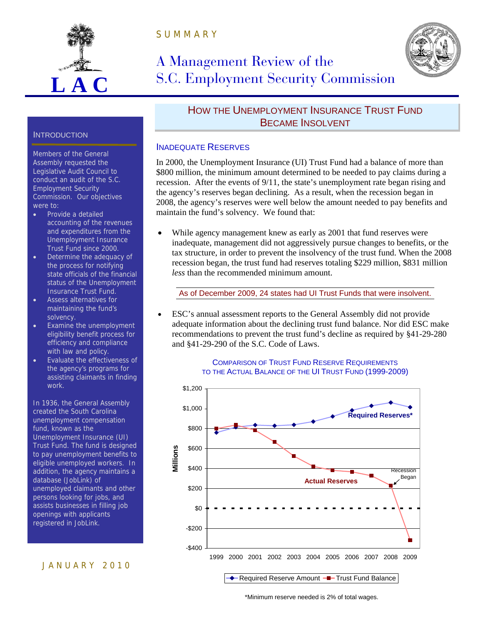

S U M M A R Y

# A Management Review of the S.C. Employment Security Commission



#### **INTRODUCTION**

Members of the General Assembly requested the Legislative Audit Council to conduct an audit of the S.C. Employment Security Commission. Our objectives were to:

- Provide a detailed accounting of the revenues and expenditures from the Unemployment Insurance Trust Fund since 2000.
- Determine the adequacy of the process for notifying state officials of the financial status of the Unemployment Insurance Trust Fund.
- Assess alternatives for maintaining the fund's solvency.
- Examine the unemployment eligibility benefit process for efficiency and compliance with law and policy.
- Evaluate the effectiveness of the agency's programs for assisting claimants in finding work.

In 1936, the General Assembly created the South Carolina unemployment compensation fund, known as the Unemployment Insurance (UI) Trust Fund. The fund is designed to pay unemployment benefits to eligible unemployed workers. In addition, the agency maintains a database (JobLink) of unemployed claimants and other persons looking for jobs, and assists businesses in filling job openings with applicants registered in JobLink.

### J A N U A R Y 2 0 1 0

HOW THE UNEMPLOYMENT INSURANCE TRUST FUND BECAME INSOLVENT

#### INADEQUATE RESERVES

In 2000, the Unemployment Insurance (UI) Trust Fund had a balance of more than \$800 million, the minimum amount determined to be needed to pay claims during a recession. After the events of 9/11, the state's unemployment rate began rising and the agency's reserves began declining. As a result, when the recession began in 2008, the agency's reserves were well below the amount needed to pay benefits and maintain the fund's solvency. We found that:

 While agency management knew as early as 2001 that fund reserves were inadequate, management did not aggressively pursue changes to benefits, or the tax structure, in order to prevent the insolvency of the trust fund. When the 2008 recession began, the trust fund had reserves totaling \$229 million, \$831 million *less* than the recommended minimum amount.

As of December 2009, 24 states had UI Trust Funds that were insolvent.

 ESC's annual assessment reports to the General Assembly did not provide adequate information about the declining trust fund balance. Nor did ESC make recommendations to prevent the trust fund's decline as required by §41-29-280 and §41-29-290 of the S.C. Code of Laws.

#### COMPARISON OF TRUST FUND RESERVE REQUIREMENTS TO THE ACTUAL BALANCE OF THE UI TRUST FUND (1999-2009)



\*Minimum reserve needed is 2% of total wages.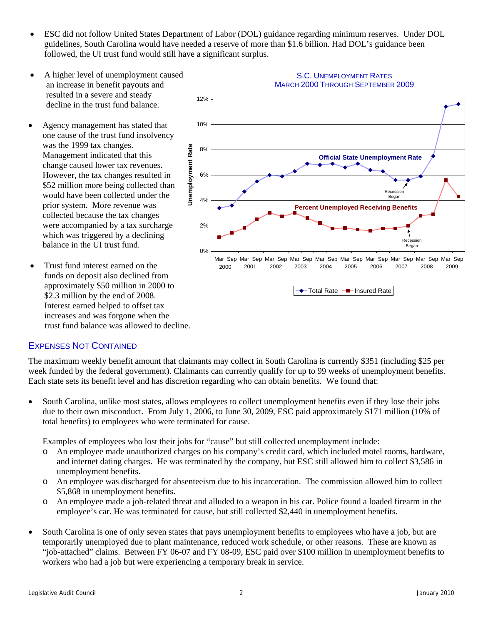- ESC did not follow United States Department of Labor (DOL) guidance regarding minimum reserves. Under DOL guidelines, South Carolina would have needed a reserve of more than \$1.6 billion. Had DOL's guidance been followed, the UI trust fund would still have a significant surplus.
- A higher level of unemployment caused an increase in benefit payouts and resulted in a severe and steady decline in the trust fund balance.
- Agency management has stated that one cause of the trust fund insolvency was the 1999 tax changes. Management indicated that this change caused lower tax revenues. However, the tax changes resulted in \$52 million more being collected than would have been collected under the prior system. More revenue was collected because the tax changes were accompanied by a tax surcharge which was triggered by a declining balance in the UI trust fund.
- Trust fund interest earned on the funds on deposit also declined from approximately \$50 million in 2000 to \$2.3 million by the end of 2008. Interest earned helped to offset tax increases and was forgone when the trust fund balance was allowed to decline.



#### S.C. UNEMPLOYMENT RATES MARCH 2000 THROUGH SEPTEMBER 2009

### EXPENSES NOT CONTAINED

The maximum weekly benefit amount that claimants may collect in South Carolina is currently \$351 (including \$25 per week funded by the federal government). Claimants can currently qualify for up to 99 weeks of unemployment benefits. Each state sets its benefit level and has discretion regarding who can obtain benefits. We found that:

 South Carolina, unlike most states, allows employees to collect unemployment benefits even if they lose their jobs due to their own misconduct. From July 1, 2006, to June 30, 2009, ESC paid approximately \$171 million (10% of total benefits) to employees who were terminated for cause.

Examples of employees who lost their jobs for "cause" but still collected unemployment include:

- o An employee made unauthorized charges on his company's credit card, which included motel rooms, hardware, and internet dating charges. He was terminated by the company, but ESC still allowed him to collect \$3,586 in unemployment benefits.
- o An employee was discharged for absenteeism due to his incarceration. The commission allowed him to collect \$5,868 in unemployment benefits.
- o An employee made a job-related threat and alluded to a weapon in his car. Police found a loaded firearm in the employee's car. He was terminated for cause, but still collected \$2,440 in unemployment benefits.
- South Carolina is one of only seven states that pays unemployment benefits to employees who have a job, but are temporarily unemployed due to plant maintenance, reduced work schedule, or other reasons. These are known as "job-attached" claims. Between FY 06-07 and FY 08-09, ESC paid over \$100 million in unemployment benefits to workers who had a job but were experiencing a temporary break in service.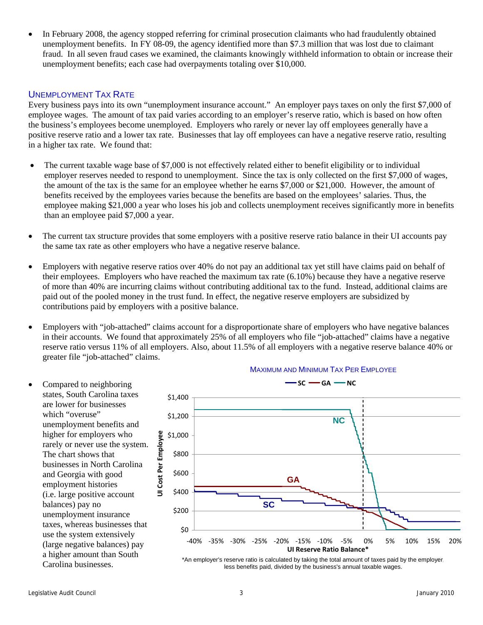In February 2008, the agency stopped referring for criminal prosecution claimants who had fraudulently obtained unemployment benefits. In FY 08-09, the agency identified more than \$7.3 million that was lost due to claimant fraud. In all seven fraud cases we examined, the claimants knowingly withheld information to obtain or increase their unemployment benefits; each case had overpayments totaling over \$10,000.

#### UNEMPLOYMENT TAX RATE

Every business pays into its own "unemployment insurance account." An employer pays taxes on only the first \$7,000 of employee wages. The amount of tax paid varies according to an employer's reserve ratio, which is based on how often the business's employees become unemployed. Employers who rarely or never lay off employees generally have a positive reserve ratio and a lower tax rate. Businesses that lay off employees can have a negative reserve ratio, resulting in a higher tax rate. We found that:

- The current taxable wage base of \$7,000 is not effectively related either to benefit eligibility or to individual employer reserves needed to respond to unemployment. Since the tax is only collected on the first \$7,000 of wages, the amount of the tax is the same for an employee whether he earns \$7,000 or \$21,000. However, the amount of benefits received by the employees varies because the benefits are based on the employees' salaries. Thus, the employee making \$21,000 a year who loses his job and collects unemployment receives significantly more in benefits than an employee paid \$7,000 a year.
- The current tax structure provides that some employers with a positive reserve ratio balance in their UI accounts pay the same tax rate as other employers who have a negative reserve balance.
- Employers with negative reserve ratios over 40% do not pay an additional tax yet still have claims paid on behalf of their employees. Employers who have reached the maximum tax rate (6.10%) because they have a negative reserve of more than 40% are incurring claims without contributing additional tax to the fund. Instead, additional claims are paid out of the pooled money in the trust fund. In effect, the negative reserve employers are subsidized by contributions paid by employers with a positive balance.
- Employers with "job-attached" claims account for a disproportionate share of employers who have negative balances in their accounts. We found that approximately 25% of all employers who file "job-attached" claims have a negative reserve ratio versus 11% of all employers. Also, about 11.5% of all employers with a negative reserve balance 40% or greater file "job-attached" claims.





\*An employer's reserve ratio is calculated by taking the total amount of taxes paid by the employer, less benefits paid, divided by the business's annual taxable wages.

are lower for businesses

The chart shows that

balances) pay no

Carolina businesses.

and Georgia with good employment histories

which "overuse"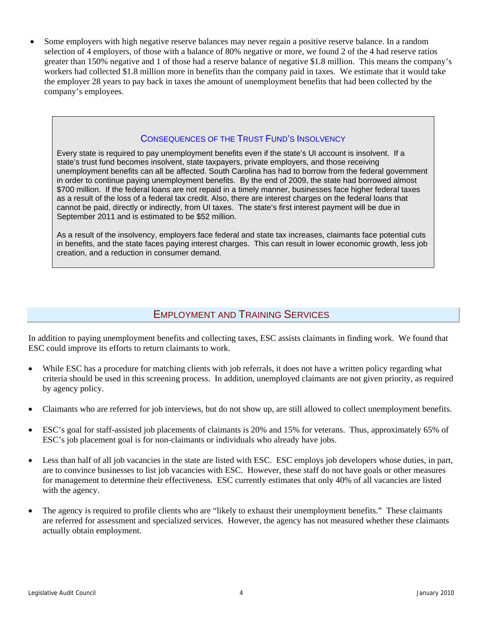Some employers with high negative reserve balances may never regain a positive reserve balance. In a random selection of 4 employers, of those with a balance of 80% negative or more, we found 2 of the 4 had reserve ratios greater than 150% negative and 1 of those had a reserve balance of negative \$1.8 million. This means the company's workers had collected \$1.8 million more in benefits than the company paid in taxes. We estimate that it would take the employer 28 years to pay back in taxes the amount of unemployment benefits that had been collected by the company's employees.

#### CONSEQUENCES OF THE TRUST FUND'S INSOLVENCY

Every state is required to pay unemployment benefits even if the state's UI account is insolvent. If a state's trust fund becomes insolvent, state taxpayers, private employers, and those receiving unemployment benefits can all be affected. South Carolina has had to borrow from the federal government in order to continue paying unemployment benefits. By the end of 2009, the state had borrowed almost \$700 million. If the federal loans are not repaid in a timely manner, businesses face higher federal taxes as a result of the loss of a federal tax credit. Also, there are interest charges on the federal loans that cannot be paid, directly or indirectly, from UI taxes. The state's first interest payment will be due in September 2011 and is estimated to be \$52 million.

As a result of the insolvency, employers face federal and state tax increases, claimants face potential cuts in benefits, and the state faces paying interest charges. This can result in lower economic growth, less job creation, and a reduction in consumer demand.

## EMPLOYMENT AND TRAINING SERVICES

In addition to paying unemployment benefits and collecting taxes, ESC assists claimants in finding work. We found that ESC could improve its efforts to return claimants to work.

- While ESC has a procedure for matching clients with job referrals, it does not have a written policy regarding what criteria should be used in this screening process. In addition, unemployed claimants are not given priority, as required by agency policy.
- Claimants who are referred for job interviews, but do not show up, are still allowed to collect unemployment benefits.
- ESC's goal for staff-assisted job placements of claimants is 20% and 15% for veterans. Thus, approximately 65% of ESC's job placement goal is for non-claimants or individuals who already have jobs.
- Less than half of all job vacancies in the state are listed with ESC. ESC employs job developers whose duties, in part, are to convince businesses to list job vacancies with ESC. However, these staff do not have goals or other measures for management to determine their effectiveness. ESC currently estimates that only 40% of all vacancies are listed with the agency.
- The agency is required to profile clients who are "likely to exhaust their unemployment benefits." These claimants are referred for assessment and specialized services. However, the agency has not measured whether these claimants actually obtain employment.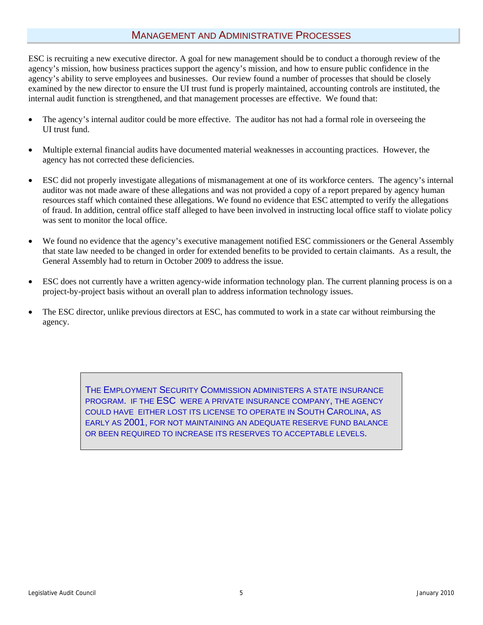## MANAGEMENT AND ADMINISTRATIVE PROCESSES

ESC is recruiting a new executive director. A goal for new management should be to conduct a thorough review of the agency's mission, how business practices support the agency's mission, and how to ensure public confidence in the agency's ability to serve employees and businesses. Our review found a number of processes that should be closely examined by the new director to ensure the UI trust fund is properly maintained, accounting controls are instituted, the internal audit function is strengthened, and that management processes are effective. We found that:

- The agency's internal auditor could be more effective. The auditor has not had a formal role in overseeing the UI trust fund.
- Multiple external financial audits have documented material weaknesses in accounting practices. However, the agency has not corrected these deficiencies.
- ESC did not properly investigate allegations of mismanagement at one of its workforce centers. The agency's internal auditor was not made aware of these allegations and was not provided a copy of a report prepared by agency human resources staff which contained these allegations. We found no evidence that ESC attempted to verify the allegations of fraud. In addition, central office staff alleged to have been involved in instructing local office staff to violate policy was sent to monitor the local office.
- We found no evidence that the agency's executive management notified ESC commissioners or the General Assembly that state law needed to be changed in order for extended benefits to be provided to certain claimants. As a result, the General Assembly had to return in October 2009 to address the issue.
- ESC does not currently have a written agency-wide information technology plan. The current planning process is on a project-by-project basis without an overall plan to address information technology issues.
- The ESC director, unlike previous directors at ESC, has commuted to work in a state car without reimbursing the agency.

THE EMPLOYMENT SECURITY COMMISSION ADMINISTERS A STATE INSURANCE PROGRAM. IF THE ESC WERE A PRIVATE INSURANCE COMPANY, THE AGENCY COULD HAVE EITHER LOST ITS LICENSE TO OPERATE IN SOUTH CAROLINA, AS EARLY AS 2001, FOR NOT MAINTAINING AN ADEQUATE RESERVE FUND BALANCE OR BEEN REQUIRED TO INCREASE ITS RESERVES TO ACCEPTABLE LEVELS.